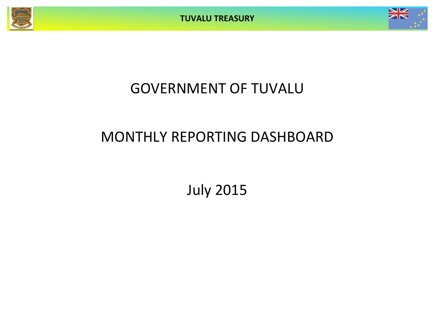**TUVALU TREASURY**



# GOVERNMENT OF TUVALU

# MONTHLY REPORTING DASHBOARD

July 2015

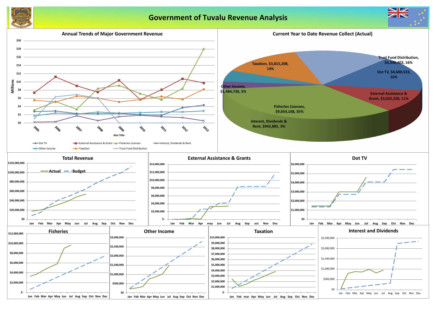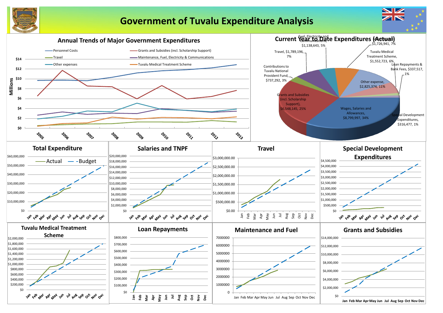

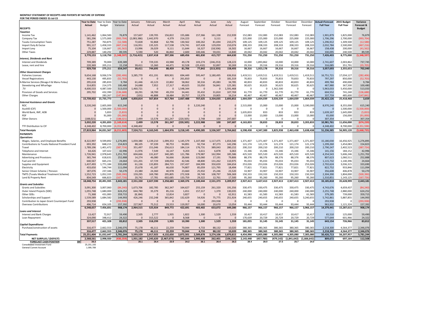### **MONTHLY STATEMENT OF RECEIPTS AND PAYENTS BY NATURE OF EXPENSE**

**FOR THE PERIOD ENDED 31-Jul-15 Year to Date** Year to Date Canuary February March April May June July August September Actual **Actual** Budget Variance Actual Actual Actual Actual Actual Actual Actual Forecast Forecast Forecast Forecast Forecast **Full Year Full Year Forecast & RECEIPTS Budget** *Taxation* Income Tax 1,141,462 1,064,583 76,879 157,607 139,705 156,822 155,686 157,366 161,338 212,939 152,083 152,083 152,083 152,083 152,083 1,901,879 1,825,000 76,879 Company Tax 581,296 1,575,000 (993,704) (2,083,386) 2,442,970 4,379 214,223 0 3,111 0 225,000 225,000 225,000 225,000 225,000 1,706,296 2,700,000 (993,704) Tuvalu Consumption Taxes 751,287 763,875 (12,588)| 72,828 92,868 62,796 100,262 81,694 210,275 109,125 109,125 109,125 109,125 1,296,912 1,309,500 (12,588) Import Duty & Excise 991,117 1,458,333 (467,216) 116,951 135,325 117,538 174,741 107,428 129,059 210,074 208,333 208,333 208,333 208,333 208,333 208,333 208,333 208,333 Import Levy 75,104 116,667 (41,562) 13,996 26,029 9,111 11,644 16,327 (18,506) 16,502 16,667 16,667 16,667 16,667 16,667 158,438 200,000 (41,562) Other Taxes 229,887 140,292 89,595 5,590 520 46,860 2,600 100,446 59,031 14,840 20,042 20,042 20,042 20,042 20,042 330,095 240,500 89,595 3,770,153 5,118,750 (1,348,597)| (1,716,415) 2,837,418 397,506 689,456 481,830 415,727 664,630 731,250 731,250 731,250 731,250 731,250 7,426,403 8,775,000 (1,348,597) *Interest, Dividends and Rent* Interest and Dividends 70,000 639,389| 0 729,335 43,988 49,178 103,274 (246,253) 128,223 10,000 1,893,862 10,000 10,000 10,000 2,741,607 2,003,862 737,745 Lease, rent and hire 220,369 205,211 15,158 39,411 15,360 44,471 32,528 (25,432) 32,897 30,269 29,316 29,316 29,316 29,316 29,316 316,085 351,791 (35,705) 929,758 275,211 654,547| 39,411 744,695 88,459 81,706 77,842 (213,355) 158,493 39,316 1,923,178 39,316 39,316 39,316 3,057,693 2,355,653 702,040 *Other Government Charges* Fisheries Licenses 9,654,168 9,936,574 (282,406) 3,285,770 451,191 809,901 694,449 595,447 3,180,495 636,916 1,419,511 1,419,511 1,419,511 1,419,511 1,419,511 16,751,721 17,034,127 (282,406) Vessel Registrations 443,130 495,833 (52,703) 0 0 261,810 0 0 181,319 70,833 70,833 70,833 70,833 70,833 797,297 850,000 (52,703) V Marine Services (Nivaga II & Manu Folau) | 295,618 285,833 9,784 61,446 43,123 22,802 58,062 30,316 45,083 34,785 40 Stevedoring and Wharfage 3134,855 214,375 100,480 24,688 7,952 17,317 49,625 33,050 56,841 125,381 30,625 30,625 30,625 30,625 30,625 467,980 367,500 100,480 .TV 4,600,533 4,087,500 513,033 1,460,721 0 0 1,548,344 0 0 1,591,468 0 0 1,362,500 0 0 5,963,033 5,450,000 513,033 Provision of Goods and Services 295,702 432,390 (136,688) 18,291 18,700 49,259 34,441 35,432 107,769 61,770 61,770 61,770 61,770 604,552 741,240 (136,688) Other Charges 283,267 (147,841) (101) 46,888 18,484 20,757 13,379 19,805 16,214 40,467 40,467 40,467 40,467 40,467 337,759 485,600 (147,841) 15,739,432 15,735,773 3,659| 4,850,814 567,854 917,764 2,667,488 707,625 3,334,035 2,693,852 1,664,039 1,664,039 3,026,539 1,664,039 1,664,039| 25,422,126 25,418,468 3,659 *External Assistance and Grants* ROC 3,220,240 2,605,000 615,240 0 0 0 3,220,240 0 2,515,000 15,000 15,000 15,000 15,000 8,970,240 8,355,000 615,240 AusAID (CIF) 0 1,500,000 (1,500,000) 0 0 0 0 0 0 0 0 0 0 0 0 0 1,500,000 (1,500,000) World Bank, IMF, ADB 0 5,833 (5,833) 0 0 0 0 0 0 0 1,635,833 833 833 833 833 1,639,167 1,645,000 (5,833) PDF 0 91,000 (91,000) 0 0 0 0 0 0 0 13,000 13,000 13,000 13,000 13,000 65,000 156,000 (91,000) Other Donors (188,021) 0 (188,021) 2,499 13,578 261,247 (220,505) 2,748 100 247,687 0 0 0 0 0 307,354 0 307,354 3,032,220 4,201,833 (1,169,614) 2,499 13,578 261,247 (220,505) 3,222,988 100 247,687 4,163,833 28,833 28,833 28,833 3,203,833| 10,981,761 11,656,000 (674,239) TTF Distribution to CIF 4,348,402 8,700,000 (4,351,598) 4,348,402 0 0 0 0 0 0 0 0 0 0 0 4,348,402 8,700,000 (4,351,598) 7,819,964 34,031,567 (6,211,603) 7,524,711 4,163,545 1,664,976 3,218,145 4,490,285 3,536,507 3,764,662 6,598 المائل المسابر المعام المعام المعام المعام المعام المعام المعام المعام المعام المعام المعام المعام المعام المعام **PAYMENTS** *Operations* Wages, Salaries, and Employee Benefits 8,322,997 9,599,892 1,276,895 1,059,380 1,139,210 1,099,353 1,145,579 1,107,460 1,117,475 1,654,540 1,371 Contributions to Tuvalu National Provident Fund | 693,392 848,215 154,823 88,105 97,339 90,753 94,891 92,734 87,273 142,296 121 Travel 1,789,196 1,401,472 (387,724) 351,497 151,046 256,613 184,114 176,731 389,043 280,152 200,210 200,210 200,210 200,210 200,210 2,790,247 2,402,523 (387,724) Telephone and Internet 64,426 107,422 42,996 11,976 7,549 16,147 9,203 6,611 6,878 6,063 15,346 15,346 15,346 15,346 15,346 141,156 184,152 42,996 Maintenance 1,726,941 2,978,643 1,251,702 604,666 131,637 340,285 121,786 179,987 162,994 185,586 425,520 925,520 425,520 425,520 425,520 4,354,543 5,606,246 1,251,702 Advertising and Provisions 365,744 618,631 252,888 14,274 46,080 56,666 28,666 123,060 17,191 79,806 88,376 88,376 88,376 88,376 88,376 807,623 1,060,511 252,888 Fuel and Oil 640,567 665,231 24,664 131,201 67,729 108,054 42,546 48,800 131,262 110,975 95,033 95,033 95,033 95,033 95,033 1,115,732 1,140,396 24,664 Supplies and Equipment 1,437,493 1,771,184 333,690 61,136 133,893 284,715 237,437 184,999 350,659 184,654 253,026 253,026 253,026 253,026 2,702,624 3,036,315 333,690 Electricity 433,650 544,744 111,094 25,678 41,187 66,630 74,807 85,059 121,795 18,494 77,821 77,821 77,821 77,821 77,821 822,752 933,846 111,094 Senior Citizen Scheme / Pension 187,076 237,346 50,270 23,380 24,360 40,978 23,660 25,932 25,246 23,520 33,907 33,907 33,907 33,907 33,907 356,608 406,878 50,270 TMTS (Tuvalu Medical Treatment Scheme) 1,552,723 1,052,333 (500,390) 159,295 169,780 295,805 272,928 39,749 108,797 506,369 150,333 150,333 150,333 150,333 150,333 2,304,390 1,804,000 (500,390) Land & Property Rent 834,549 666,823 (167,726) 20,742 17,781 602,685 133,759 29,322 12,761 17,500 95,260 95,260 95,260 95,260 95,260 1,310,851 1,143,125 (167,726) 18,048,754 20,491,935 2,443,181| 2,551,330 2,027,590 3,258,683 2,369,376 2,100,444 2,531,373 3,209,957 2,927,413 3,427,413 2,927,413 2,927,413 2,927,413 3,185,818 35,628,999 2,443,181 *Grants and Subsidies* Grants and Subsidies 3,000 3,001,300 3,007,060 (84,240) 1,673,706 182,785 362,347 164,627 255,159 261,320 191,356 330,475 330,475 330,475 330,475 4,743,676 4,659,437 (84,240) Outer Island Projects (SDE) 1,055,748 1,680,000 624,252 644,780 35,379 85,216 1,651 157,317 1,370 130,035 240,000 240,000 240,000 240,000 240,000 2,255,748 2,880,000 624,252 Other SDEs 71,368 431,083 359,715 (8,184) 0 12,814 3,827 0 0 62,911 61,583 61,583 61,583 61,583 61,583 379,285 739,000 359,715 Scholarships and Support 1,539,589 1,684,582 144,993 426,246 232,248 365,842 132,629 54,926 75,775 251,924 240,655 240,655 240,655 240,655 3,240,655 5,742,861 5,887,855 144,993 Contribution to Japan Grant Counterpart Fund | 293,938 0 (293,938) 0 0 0 0 0 0 0 0 293,938 0 Overseas Contributions 496,714 654,105 157,392 227,967 75,512 23,553 119,957 16,000 20,670 13,054 93,444 93,444 93,444 93,444 93,444 963,932 1,121,324 157,392 6,548,657 7,456,831 908,174 2,964,515 525,924 849,772 422,691 483,402 653,072 649,280 966,157 966,157 966,157 966,157 3,966,157 14,379,441 15,287,615 908,174 *Loans and Interest* Interest and Bank Charges 13,427 13,427 72,917 59,490 2,505 2,777 1,935 1,822 1,300 1,529 1,529 10,417 10,417 10,417 10,417 10,417 65,510 125,000 59,490 Loan Repayment 324,090 348,412 24,322 0 315,522 0 8,568 0 0 0 170,639 20,729 20,729 20,729 20,729 577,644 601,966 24,322 337,517 421,328 83,812| 2,505 318,299 1,935 10,390 1,300 1,529 1,559 181,055 31,145 31,145 31,145 31,145| 643,154 726,966 83,812 *Capital Expenditures* Purchase/construction of assets 316,477 2,662,553 2,346,076 75,178 46,111 22,259 70,044 4,733 88,132 10,020 380,365 380,365 380,365 380,365 380,365 2,218,300 4,564,377 2,346,076 316,477 2,662,553 2,346,076| 75,178 46,111 22,259 70,044 4,733 88,132 10,020 380,365 380,365 380,365 380,365 380,365| 2,218,300 4,564,377 2,346,076 **Total Payments 25,251,404 31,032,647 5,781,244 5,593,529 2,917,925 4,132,650 2,872,501 2,589,878 3,274,106 3,870,815 4,454,990 4,805,080 4,305,080 4,305,080 7,305,080 50,426,713 56,207,957 5,781,244** NET SURPLUS / (DEFICIT) 2,568,561 2,998,920 (430,359) 1,931,182 1,245,620 (2,467,673) 345,644 1,900,408 262,401 (106,154) 2,143,448 (457,780) (479,142) (1,841,642)(1,666,642) 809,672 697,164 1 **FORECAST CASH POSITION \$M 26.3 25.1 26.4 23.9 24.2 26.1 26.4 26.3 28.4 28.0 27.5 25.7 24.0** Consolidated Investment Fund 25,201,193

General Current Account 1,095,789

| ıst            | September            | October              | November             | December             | <b>Actual+Forecast</b>  | 2015 Budget             | Variance               |
|----------------|----------------------|----------------------|----------------------|----------------------|-------------------------|-------------------------|------------------------|
| ast            | Forecast             | Forecast             | Forecast             | Forecast             | <b>Full Year</b>        | <b>Full Year</b>        | Forecast &             |
|                |                      |                      |                      |                      |                         |                         | <b>Budget</b>          |
|                |                      |                      |                      |                      |                         |                         |                        |
| 2,083          | 152,083              | 152,083              | 152,083              | 152,083              | 1,901,879               | 1,825,000               | 76,879                 |
| 5,000          | 225,000              | 225,000              | 225,000              | 225,000              | 1,706,296               | 2,700,000               | (993, 704)             |
| 9,125          | 109,125              | 109,125              | 109,125              | 109,125              | 1,296,912               | 1,309,500               | (12, 588)              |
| 3,333          | 208,333              | 208,333              | 208,333              | 208,333              | 2,032,784               | 2,500,000               | (467, 216)             |
| 5,667          | 16,667               | 16,667               | 16,667               | 16,667               | 158,438                 | 200,000                 | (41, 562)              |
| 0,042          | 20,042               | 20,042               | 20,042               | 20,042               | 330,095                 | 240,500                 | 89,595                 |
| L,250          | 731,250              | 731,250              | 731,250              | 731,250              | 7,426,403               | 8,775,000               | (1,348,597)            |
| 0,000          | 1,893,862            | 10,000               | 10,000               | 10,000               | 2,741,607               | 2,003,862               |                        |
| 9,316          | 29,316               | 29,316               | 29,316               | 29,316               | 316,085                 | 351,791                 | 737,745<br>(35, 705)   |
| 9,316          | 1,923,178            | 39,316               | 39,316               | 39,316               | 3,057,693               | 2,355,653               | 702,040                |
|                |                      |                      |                      |                      |                         |                         |                        |
| 9,511          | 1,419,511            | 1,419,511            | 1,419,511            | 1,419,511            | 16,751,721              | 17,034,127              | (282, 406)             |
| ),833          | 70,833               | 70,833               | 70,833               | 70,833               | 797,297                 | 850,000                 | (52, 703)              |
| ),833          | 40,833               | 40,833               | 40,833               | 40,833               | 499,784                 | 490,000                 | 9,784                  |
| ),625          | 30,625               | 30,625               | 30,625               | 30,625               | 467,980                 | 367,500                 | 100,480                |
| 0              | 0                    | 1,362,500            | 0                    | 0                    | 5,963,033               | 5,450,000               | 513,033                |
| 1,770          | 61,770               | 61,770               | 61,770               | 61,770               | 604,552                 | 741,240                 | (136, 688)             |
| ),467          | 40,467               | 40,467               | 40,467               | 40,467               | 337,759                 | 485,600                 | (147, 841)             |
| 1,039          | 1,664,039            | 3,026,539            | 1,664,039            | 1,664,039            | 25,422,126              | 25,418,468              | 3,659                  |
|                |                      |                      |                      |                      |                         |                         |                        |
| 5,000          | 15,000               | 15,000               | 15,000               | 3,190,000            | 8,970,240               | 8,355,000               | 615,240                |
| 0              | 0<br>833             | 0                    | 0<br>833             | 0<br>833             | 0                       | 1,500,000               | (1,500,000)            |
| 5,833<br>3,000 | 13,000               | 833<br>13,000        | 13,000               | 13,000               | 1,639,167<br>65,000     | 1,645,000<br>156,000    | (5,833)<br>(91,000)    |
| 0              | 0                    | 0                    | 0                    | $\boldsymbol{0}$     | 307,354                 | 0                       | 307,354                |
| 3,833          | 28,833               | 28,833               | 28,833               | 3,203,833            | 10,981,761              | 11,656,000              | (674, 239)             |
| 0              | 0                    | 0                    | 0                    | 0                    | 4,348,402               | 8,700,000               | (4, 351, 598)          |
| 3,438          | 4,347,300            | 3,825,938            | 2,463,438            | 5,638,438            | 51,236,385              | 56,905,120              | (5,668,735)            |
|                |                      |                      |                      |                      |                         |                         |                        |
|                |                      |                      |                      |                      |                         |                         |                        |
| L.407          | 1,371,407            | 1,371,407            | 1,371,407            | 1,371,407            | 15,180,030              | 16,456,925              | 1,276,895              |
| 1,174          | 121,174              | 121,174              | 121,174              | 121,174              | 1,299,260               | 1,454,083               | 154,823                |
| 0,210          | 200,210              | 200,210              | 200,210              | 200,210              | 2,790,247               | 2,402,523               | (387, 724)             |
| 5,346          | 15,346               | 15,346               | 15,346               | 15,346               | 141,156                 | 184,152                 | 42,996                 |
| 5,520          | 925,520              | 425,520              | 425,520              | 425,520              | 4,354,543               | 5,606,246               | 1,251,702              |
| 3,376          | 88,376               | 88,376               | 88,376               | 88,376               | 807,623                 | 1,060,511               | 252,888                |
| 5,033          | 95,033               | 95,033               | 95,033               | 95,033               | 1,115,732               | 1,140,396               | 24,664                 |
| 3,026          | 253,026              | 253,026              | 253,026              | 253,026              | 2,702,624               | 3,036,315               | 333,690                |
| 7,821          | 77,821               | 77,821               | 77,821               | 77,821               | 822,752                 | 933,846                 | 111,094                |
| 3,907          | 33,907               | 33,907               | 33,907               | 33,907               | 356,608                 | 406,878                 | 50,270                 |
| ),333          | 150,333              | 150,333              | 150,333              | 150,333              | 2,304,390               | 1,804,000               | (500, 390)             |
| 5,260          | 95,260               | 95,260               | 95,260               | 95,260               | 1,310,851               | 1,143,125               | (167, 726)             |
| 7,413          | 3,427,413            | 2,927,413            | 2,927,413            | 2,927,413            | 33,185,818              | 35,628,999              | 2,443,181              |
| ),475          | 330,475              | 330,475              | 330,475              | 330,475              | 4,743,676               | 4,659,437               | (84, 240)              |
| 0,000          | 240,000              | 240,000              | 240,000              | 240,000              | 2,255,748               | 2,880,000               | 624,252                |
| 1,583          | 61,583               | 61,583               | 61,583               | 61,583               | 379,285                 | 739,000                 | 359,715                |
| 0,655          | 240,655              | 240,655              | 240,655              | 3,240,655            | 5,742,861               | 5,887,855               | 144,993                |
| 0              | 0                    | 0                    | $\boldsymbol{0}$     | 0                    | 293,938                 | 0                       | (293, 938)             |
| 3,444          | 93,444               | 93,444               | 93,444               | 93,444               | 963,932                 | 1,121,324               | 157,392                |
| 5,157          | 966,157              | 966,157              | 966,157              | 3,966,157            | 14,379,441              | 15,287,615              | 908,174                |
|                |                      |                      |                      |                      |                         |                         |                        |
| ),417          | 10,417               | 10,417               | 10,417               | 10,417               | 65,510                  | 125,000                 | 59,490                 |
| ),639          | 20,729               | 20,729               | 20,729               | 20,729               | 577,644                 | 601,966                 | 24,322                 |
| L,055          | 31,145               | 31,145               | 31,145               | 31,145               | 643,154                 | 726,966                 | 83,812                 |
|                |                      |                      |                      |                      |                         |                         |                        |
| ),365          | 380,365              | 380,365              | 380,365              | 380,365              | 2,218,300               | 4,564,377               | 2,346,076              |
| ),365<br>1,990 | 380,365<br>4,805,080 | 380,365<br>4,305,080 | 380,365<br>4,305,080 | 380,365<br>7,305,080 | 2,218,300<br>50,426,713 | 4,564,377<br>56,207,957 | 2,346,076<br>5,781,244 |
|                |                      |                      |                      |                      |                         |                         |                        |
| 3,448<br>28.4  | (457,780)<br>28.0    | (479, 142)<br>27.5   | (1,841,642)<br>25.7  | (1,666,642)<br>24.0  | 809,672                 | 697,164                 | 112,508                |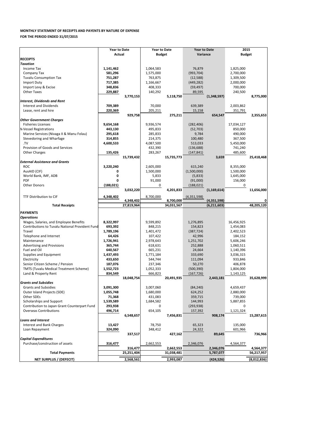| Purchase/construction of assets | 316.477    | 2.662.553  | 2,346,076  | 4.564.377   |
|---------------------------------|------------|------------|------------|-------------|
|                                 | 316.477    | 2.662.553  | 2,346,076  | 4,564,377   |
| <b>Total Payments</b>           | 25,251,404 | 31.038.481 | 5,787,077  | 56,217,957  |
| NET SURPLUS / (DEFECIT)         | 2,568,561  | 2,993,087  | (424, 526) | (8,012,836) |

|                                                        | <b>Year to Date</b> |                         | <b>Year to Date</b> |                         | <b>Year to Date</b> |                              | 2015          |            |
|--------------------------------------------------------|---------------------|-------------------------|---------------------|-------------------------|---------------------|------------------------------|---------------|------------|
|                                                        | <b>Actual</b>       |                         | <b>Budget</b>       |                         | Variance            |                              | <b>Budget</b> |            |
| <b>RECEIPTS</b>                                        |                     |                         |                     |                         |                     |                              |               |            |
| <b>Taxation</b>                                        |                     |                         |                     |                         |                     |                              |               |            |
| Income Tax                                             | 1,141,462           |                         | 1,064,583           |                         | 76,879              |                              | 1,825,000     |            |
| Company Tax                                            | 581,296             |                         | 1,575,000           |                         | (993, 704)          |                              | 2,700,000     |            |
| <b>Tuvalu Consumption Tax</b>                          | 751,287             |                         | 763,875             |                         | (12, 588)           |                              | 1,309,500     |            |
| <b>Import Duty</b>                                     | 717,385             |                         | 1,166,667           |                         | (449, 282)          |                              | 2,000,000     |            |
| Import Levy & Excise                                   | 348,836             |                         | 408,333             |                         | (59, 497)           |                              | 700,000       |            |
| <b>Other Taxes</b>                                     | 229,887             |                         | 140,292             |                         | 89,595              |                              | 240,500       |            |
|                                                        |                     | 3,770,153               |                     | 5,118,750               |                     | (1,348,597)                  |               | 8,775,000  |
| <b>Interest, Dividends and Rent</b>                    |                     |                         |                     |                         |                     |                              |               |            |
| <b>Interest and Dividends</b>                          | 709,389             |                         | 70,000              |                         | 639,389             |                              | 2,003,862     |            |
| Lease, rent and hire                                   | 220,369             |                         | 205,211             |                         | 15,158              |                              | 351,791       |            |
|                                                        |                     | 929,758                 |                     | 275,211                 |                     | 654,547                      |               | 2,355,653  |
| <b>Other Government Charges</b>                        |                     |                         |                     |                         |                     |                              |               |            |
| <b>Fisheries Licenses</b>                              | 9,654,168           |                         | 9,936,574           |                         | (282, 406)          |                              | 17,034,127    |            |
| <b>N</b> Vessel Registrations                          | 443,130             |                         | 495,833             |                         | (52, 703)           |                              | 850,000       |            |
| Marine Services (Nivaga II & Manu Folau)               | 295,618             |                         | 285,833             |                         | 9,784               |                              | 490,000       |            |
| Stevedoring and Wharfage                               | 314,855             |                         | 214,375             |                         | 100,480             |                              | 367,500       |            |
| .TV                                                    | 4,600,533           |                         | 4,087,500           |                         | 513,033             |                              | 5,450,000     |            |
| Provision of Goods and Services                        |                     |                         | 432,390             |                         | (136, 688)          |                              | 741,240       |            |
| <b>Other Charges</b>                                   | 135,426             |                         | 283,267             |                         | (147, 841)          |                              | 485,600       |            |
|                                                        |                     | 15,739,432              |                     | 15,735,773              |                     | 3,659                        |               | 25,418,468 |
| <b>External Assistance and Grants</b>                  |                     |                         |                     |                         |                     |                              |               |            |
| <b>ROC</b>                                             | 3,220,240           |                         | 2,605,000           |                         | 615,240             |                              | 8,355,000     |            |
| AusAID (CIF)                                           | 0                   |                         | 1,500,000           |                         | (1,500,000)         |                              | 1,500,000     |            |
| World Bank, IMF, ADB                                   |                     |                         | 5,833               |                         | (5,833)             |                              | 1,645,000     |            |
| <b>PDF</b>                                             | U                   |                         | 91,000              |                         | (91,000)            |                              | 156,000       |            |
| <b>Other Donors</b>                                    | (188, 021)          |                         | 0                   |                         | (188, 021)          |                              | 0             |            |
|                                                        |                     | 3,032,220               |                     | 4,201,833               |                     | (1, 169, 614)                |               | 11,656,000 |
| TTF Distribution to CIF                                | 4,348,402           |                         | 8,700,000           |                         | (4,351,598)         |                              |               |            |
|                                                        |                     |                         |                     |                         |                     |                              |               |            |
|                                                        |                     |                         |                     |                         |                     |                              |               |            |
| <b>Total Receipts</b>                                  |                     | 4,348,402<br>27,819,964 |                     | 8,700,000<br>34,031,567 |                     | (4,351,598)<br>(6, 211, 603) |               | 48,205,120 |
|                                                        |                     |                         |                     |                         |                     |                              |               |            |
| <b>PAYMENTS</b>                                        |                     |                         |                     |                         |                     |                              |               |            |
| <b>Operations</b>                                      |                     |                         |                     |                         |                     |                              |               |            |
| Wages, Salaries, and Employee Benefits                 | 8,322,997           |                         | 9,599,892           |                         | 1,276,895           |                              | 16,456,925    |            |
| <b>Contributions to Tuvalu National Provident Fund</b> | 693,392             |                         | 848,215             |                         | 154,823             |                              | 1,454,083     |            |
| Travel                                                 | 1,789,196           |                         | 1,401,472           |                         | (387, 724)          |                              | 2,402,523     |            |
| Telephone and Internet                                 | 64,426              |                         | 107,422             |                         | 42,996              |                              | 184,152       |            |
| Maintenance                                            | 1,726,941           |                         | 2,978,643           |                         | 1,251,702           |                              | 5,606,246     |            |
| <b>Advertising and Provisions</b>                      | 365,744             |                         | 618,631             |                         | 252,888             |                              | 1,060,511     |            |
| Fuel and Oil                                           | 640,567             |                         | 665,231             |                         | 24,664              |                              | 1,140,396     |            |
| Supplies and Equipment                                 | 1,437,493           |                         | 1,771,184           |                         | 333,690             |                              | 3,036,315     |            |
| Electricity                                            | 433,650             |                         | 544,744             |                         | 111,094             |                              | 933,846       |            |
| Senior Citizen Scheme / Pension                        | 187,076             |                         | 237,346             |                         | 50,270              |                              | 406,878       |            |
| <b>TMTS (Tuvalu Medical Treatment Scheme)</b>          | 1,552,723           |                         | 1,052,333           |                         | (500, 390)          |                              | 1,804,000     |            |
| Land & Property Rent                                   | 834,549             |                         | 666,823             |                         | (167, 726)          |                              | 1,143,125     |            |
|                                                        |                     | 18,048,754              |                     | 20,491,935              |                     | 2,443,181                    |               | 35,628,999 |
| <b>Grants and Subsidies</b>                            |                     |                         |                     |                         |                     |                              |               |            |
| <b>Grants and Subsidies</b>                            | 3,091,300           |                         | 3,007,060           |                         | (84, 240)           |                              | 4,659,437     |            |
| Outer Island Projects (SDE)                            | 1,055,748           |                         | 1,680,000           |                         | 624,252             |                              | 2,880,000     |            |
| Other SDEs                                             | 71,368              |                         | 431,083             |                         | 359,715             |                              | 739,000       |            |
| Scholarships and Support                               | 1,539,589           |                         | 1,684,582           |                         | 144,993             |                              | 5,887,855     |            |
| Contribution to Japan Grant Counterpart Fund           | 293,938             |                         | 0                   |                         | (293, 938)          |                              | 0             |            |
| <b>Overseas Contributions</b>                          | 496,714             |                         | 654,105             |                         | 157,392             |                              | 1,121,324     |            |
|                                                        |                     | 6,548,657               |                     | 7,456,831               |                     | 908,174                      |               | 15,287,615 |
| <b>Loans and Interest</b>                              |                     |                         |                     |                         |                     |                              |               |            |
| Interest and Bank Charges                              | 13,427              |                         | 78,750              |                         | 65,323              |                              | 135,000       |            |
| Loan Repayment                                         | 324,090             |                         | 348,412             |                         | 24,322              |                              | 601,966       |            |
| <b>Capital Expenditures</b>                            |                     | 337,517                 |                     | 427,162                 |                     | 89,645                       |               | 736,966    |

## **MONTHLY STATEMENT OF RECEIPTS AND PAYENTS BY NATURE OF EXPENSE FOR THE PERIOD ENDED 31/07/2015**